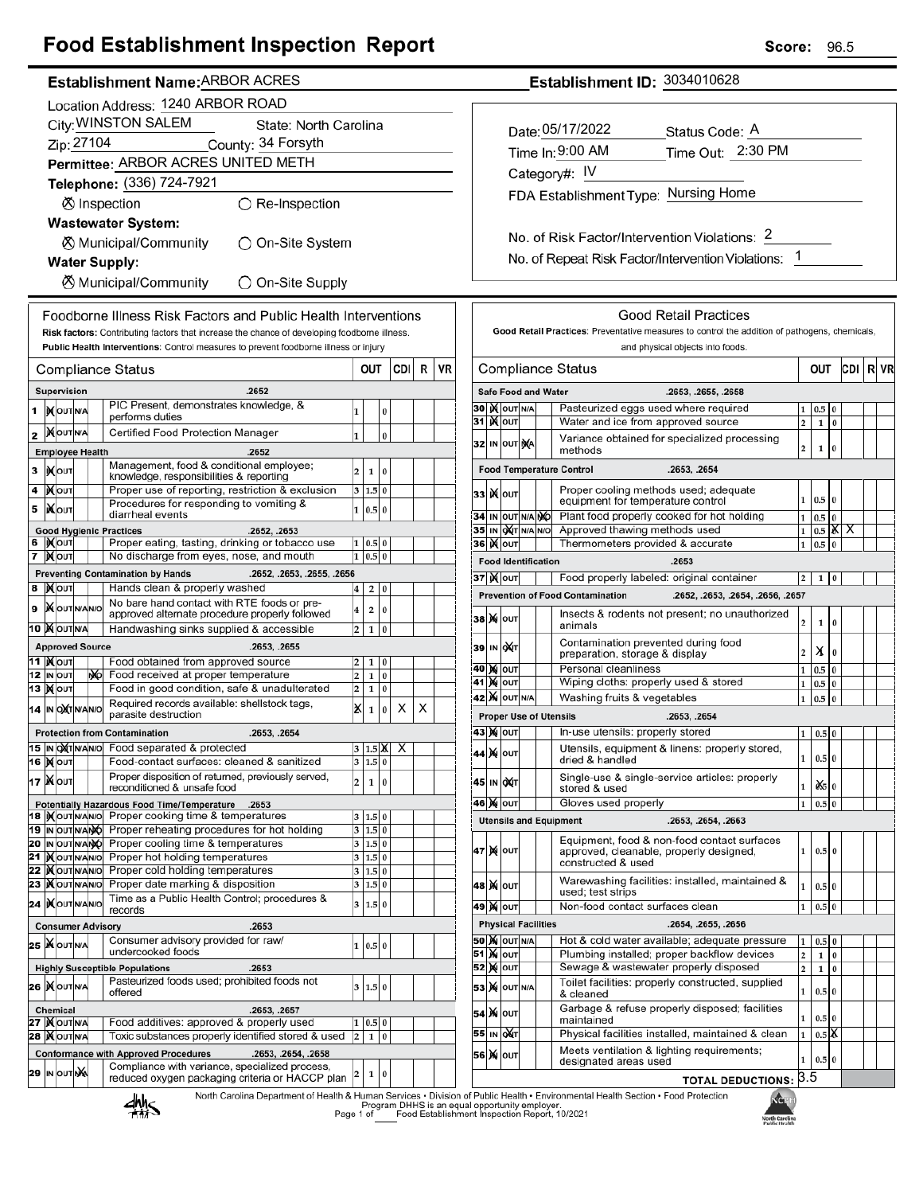# **Food Establishment Inspection Report**

### Establishment Name: ARBOR ACRES

|        |                                              |                                      |  |     | Location Address: 1240 ARBOR ROAD                                                                 |                         |                |          |      |    |    |
|--------|----------------------------------------------|--------------------------------------|--|-----|---------------------------------------------------------------------------------------------------|-------------------------|----------------|----------|------|----|----|
|        | City: WINSTON SALEM<br>State: North Carolina |                                      |  |     |                                                                                                   |                         |                |          |      |    |    |
|        |                                              | Zip: 27104                           |  |     | County: 34 Forsyth                                                                                |                         |                |          |      |    |    |
|        |                                              |                                      |  |     | Permittee: ARBOR ACRES UNITED METH                                                                |                         |                |          |      |    |    |
|        |                                              |                                      |  |     | Telephone: (336) 724-7921                                                                         |                         |                |          |      |    |    |
|        |                                              |                                      |  |     | ⊗ Inspection<br>$\bigcirc$ Re-Inspection                                                          |                         |                |          |      |    |    |
|        |                                              |                                      |  |     | <b>Wastewater System:</b>                                                                         |                         |                |          |      |    |    |
|        |                                              |                                      |  |     | <b><math>\oslash</math> Municipal/Community</b><br>)On-Site System                                |                         |                |          |      |    |    |
|        |                                              |                                      |  |     | <b>Water Supply:</b>                                                                              |                         |                |          |      |    |    |
|        |                                              |                                      |  |     | <b>8</b> Municipal/Community<br>◯ On-Site Supply                                                  |                         |                |          |      |    |    |
|        |                                              |                                      |  |     | Foodborne Illness Risk Factors and Public Health Interventions                                    |                         |                |          |      |    |    |
|        |                                              |                                      |  |     | Risk factors: Contributing factors that increase the chance of developing foodborne illness.      |                         |                |          |      |    |    |
|        |                                              |                                      |  |     | Public Health Interventions: Control measures to prevent foodborne illness or injury              |                         |                |          |      |    |    |
|        |                                              |                                      |  |     | Compliance Status                                                                                 |                         | OUT            |          | CDII | R  | VR |
|        |                                              | Supervision                          |  |     | .2652                                                                                             |                         |                |          |      |    |    |
| 1      |                                              | <b>IX</b> OUTNA                      |  |     | PIC Present, demonstrates knowledge, &<br>performs duties                                         | 1                       |                | 0        |      |    |    |
| 2      |                                              | <b>MOUTNA</b>                        |  |     | Certified Food Protection Manager                                                                 | $\mathbf{1}$            |                | $\bf{0}$ |      |    |    |
|        |                                              | <b>Employee Health</b>               |  |     | .2652                                                                                             |                         |                |          |      |    |    |
| 3      |                                              | <b>IXOUT</b>                         |  |     | Management, food & conditional employee;<br>knowledge, responsibilities & reporting               | $\overline{\mathbf{c}}$ | 1              | 0        |      |    |    |
| 4      |                                              | ∣) <b>X</b> ∣оυт                     |  |     | Proper use of reporting, restriction & exclusion                                                  | 3                       | 1.5            | 0        |      |    |    |
| 5      |                                              | IiXo∪т                               |  |     | Procedures for responding to vomiting &<br>diarrheal events                                       | 1                       | 0.5 0          |          |      |    |    |
|        |                                              |                                      |  |     | <b>Good Hygienic Practices</b><br>.2652, .2653                                                    |                         |                |          |      |    |    |
| 6<br>7 |                                              | <b>IXOUT</b><br><b>∣)∢∣</b> оυт      |  |     | Proper eating, tasting, drinking or tobacco use<br>No discharge from eyes, nose, and mouth        | 1<br>1                  | 0.5 0<br>0.5   | 0        |      |    |    |
|        |                                              |                                      |  |     | <b>Preventing Contamination by Hands</b><br>.2652, .2653, .2655, .2656                            |                         |                |          |      |    |    |
| 8      |                                              | <b>X</b> OUT                         |  |     | Hands clean & properly washed                                                                     | 4                       | 2              | 0        |      |    |    |
| 9      |                                              | <b>X</b> OUTNANO                     |  |     | No bare hand contact with RTE foods or pre-<br>approved alternate procedure properly followed     | 4                       | 2              | 0        |      |    |    |
|        |                                              | 10  X OUTNA                          |  |     | Handwashing sinks supplied & accessible                                                           | 2                       | 1              | 0        |      |    |    |
|        |                                              | <b>Approved Source</b>               |  |     | .2653, .2655                                                                                      |                         |                |          |      |    |    |
|        |                                              | 11  ) <b>(</b> ouт                   |  |     | Food obtained from approved source                                                                | 2                       | 1              | 0        |      |    |    |
|        |                                              | 12 IN OUT<br>13  ) ( ouт             |  | NO. | Food received at proper temperature<br>Food in good condition, safe & unadulterated               | 2<br>2                  | 1<br>1         | 0<br>0   |      |    |    |
|        |                                              | 14 IN OXTNANO                        |  |     | Required records available: shellstock tags,                                                      | x                       | 1              | 0        | x    | X. |    |
|        |                                              |                                      |  |     | parasite destruction<br><b>Protection from Contamination</b>                                      |                         |                |          |      |    |    |
|        |                                              | 15 IN OXTNANO                        |  |     | .2653, .2654<br>Food separated & protected                                                        |                         | 1.5            | IX       | х    |    |    |
|        |                                              | <b>16   Мол</b>                      |  |     | Food-contact surfaces: cleaned & sanitized                                                        | 3                       | $1.5$ 0        |          |      |    |    |
|        |                                              | 17   Nout                            |  |     | Proper disposition of returned, previously served,<br>reconditioned & unsafe food                 | 2                       | 1              | 0        |      |    |    |
|        |                                              |                                      |  |     | Potentially Hazardous Food Time/Temperature<br>.2653                                              |                         |                |          |      |    |    |
|        |                                              | 18   OUT N/AN/O                      |  |     | Proper cooking time & temperatures<br>Proper reheating procedures for hot holding                 | 3<br>3                  | 1.5 0<br>1.5 0 |          |      |    |    |
|        |                                              | 19 IN OUT NANO<br>20 IN OUT NANO     |  |     | Proper cooling time & temperatures                                                                | 3                       | 1.5 0          |          |      |    |    |
|        |                                              | 21   OUTNANO                         |  |     | Proper hot holding temperatures                                                                   | 3                       | 1.5 0          |          |      |    |    |
|        |                                              | 22   OUTNANO                         |  |     | Proper cold holding temperatures<br>Proper date marking & disposition                             | 3<br>3                  | 1.5 0          |          |      |    |    |
|        |                                              | 23   OUTNANO<br>24 IXOUTNANO         |  |     | Time as a Public Health Control; procedures &                                                     | 3                       | 1.5 0<br>1.5 0 |          |      |    |    |
|        |                                              |                                      |  |     | records<br><b>Consumer Advisory</b><br>.2653                                                      |                         |                |          |      |    |    |
|        |                                              | 25 WOUTNA                            |  |     | Consumer advisory provided for raw/                                                               | 1                       | 0.5 0          |          |      |    |    |
|        |                                              |                                      |  |     | undercooked foods                                                                                 |                         |                |          |      |    |    |
|        |                                              |                                      |  |     | <b>Highly Susceptible Populations</b><br>.2653<br>Pasteurized foods used; prohibited foods not    |                         |                |          |      |    |    |
|        |                                              | 26 MOUTNA                            |  |     | offered                                                                                           | 3                       | 1.5 0          |          |      |    |    |
|        |                                              | <b>Chemical</b><br><b>27   OUTNA</b> |  |     | .2653, .2657<br>Food additives: approved & properly used                                          | 1                       | 0.5 0          |          |      |    |    |
|        |                                              | <b>28   OUTNA</b>                    |  |     | Toxic substances properly identified stored & used                                                | $\overline{\mathbf{c}}$ | $\mathbf{1}$   | 0        |      |    |    |
|        |                                              |                                      |  |     | <b>Conformance with Approved Procedures</b><br>.2653, .2654, .2658                                |                         |                |          |      |    |    |
|        |                                              | 29 IN OUT NA                         |  |     | Compliance with variance, specialized process,<br>reduced oxygen packaging criteria or HACCP plan | 2                       | 1              | 0        |      |    |    |
|        |                                              |                                      |  |     | North Carolina Denartment of Health & Human Services . Divisio<br><b>If I</b>                     |                         |                |          |      |    |    |

Establishment ID: 3034010628

| Date: 05/17/2022                     | Status Code: A    |
|--------------------------------------|-------------------|
| Time In: 9:00 AM                     | Time Out: 2:30 PM |
| Category#: IV                        |                   |
| FDA Establishment Type: Nursing Home |                   |
|                                      |                   |

No. of Risk Factor/Intervention Violations: 2 No. of Repeat Risk Factor/Intervention Violations: 1

|    |    |                     |     |                            | Good Retail Practices: Preventative measures to control the addition of pathogens, chemicals,<br>and physical objects into foods. |                         |              |                |   |  |  |
|----|----|---------------------|-----|----------------------------|-----------------------------------------------------------------------------------------------------------------------------------|-------------------------|--------------|----------------|---|--|--|
|    |    | Compliance Status   | ουτ |                            |                                                                                                                                   | CDI                     | R            | VR             |   |  |  |
|    |    |                     |     | <b>Safe Food and Water</b> | .2653, .2655, .2658                                                                                                               |                         |              |                |   |  |  |
| 30 |    | <b>KOUT N/A</b>     |     |                            | Pasteurized eggs used where required                                                                                              | 1                       | 0.5          | 0              |   |  |  |
| 31 |    | <b>K</b> lout       |     |                            | Water and ice from approved source                                                                                                | $\overline{\mathbf{c}}$ | 1            | $\bf{0}$       |   |  |  |
| 32 |    | IN OUT NA           |     |                            | Variance obtained for specialized processing<br>methods                                                                           | $\overline{2}$          | $\mathbf{1}$ | $\bf{0}$       |   |  |  |
|    |    |                     |     |                            | <b>Food Temperature Control</b><br>.2653, .2654                                                                                   |                         |              |                |   |  |  |
| 33 |    | <b>X</b> OUT        |     |                            | Proper cooling methods used; adequate<br>equipment for temperature control                                                        | 1                       | 0.5          | $\overline{0}$ |   |  |  |
| 34 | IN | OUT N/A NO          |     |                            | Plant food properly cooked for hot holding                                                                                        | $\mathbf{1}$            | 0.5          | $\bf{0}$       |   |  |  |
| 35 | IN | loX∣⊤               | N/A | N/O                        | Approved thawing methods used                                                                                                     | $\mathbf{1}$            | 0.5          | й              | х |  |  |
|    |    | 36 <b>)(</b>  оит   |     |                            | Thermometers provided & accurate                                                                                                  | 1                       | 0.5          | 0              |   |  |  |
|    |    |                     |     | <b>Food Identification</b> | .2653                                                                                                                             |                         |              |                |   |  |  |
|    |    | 37  ) <b>X</b>  оυт |     |                            | Food properly labeled: original container                                                                                         | 2                       | 1            | 0              |   |  |  |
|    |    |                     |     |                            | <b>Prevention of Food Contamination</b><br>.2652, .2653, .2654, .2656, .2657                                                      |                         |              |                |   |  |  |
| 38 | M  | OUT                 |     |                            | Insects & rodents not present; no unauthorized<br>animals                                                                         | 2                       | 1            | 0              |   |  |  |
| 39 |    | IN OUT              |     |                            | Contamination prevented during food<br>preparation, storage & display                                                             | 2                       | х            | $\bf{0}$       |   |  |  |
| 40 | M  | out                 |     |                            | Personal cleanliness                                                                                                              | $\mathbf{1}$            | 0.5          | 0              |   |  |  |
| 41 |    | <b>X</b> OUT        |     |                            | Wiping cloths: properly used & stored                                                                                             | 1                       | 0.5          | 0              |   |  |  |
| 42 |    | <b>X</b> OUT N/A    |     |                            | Washing fruits & vegetables                                                                                                       | 1                       | 0.5          | $\bf{0}$       |   |  |  |
|    |    |                     |     |                            | <b>Proper Use of Utensils</b><br>.2653, .2654                                                                                     |                         |              |                |   |  |  |
|    |    | 43   Χ(   ΟUT       |     |                            | In-use utensils: properly stored                                                                                                  | 1                       | 0.5          | 0              |   |  |  |
| 44 |    | <b>X</b> OUT        |     |                            | Utensils, equipment & linens: properly stored,<br>dried & handled                                                                 | 1                       | 0.5 0        |                |   |  |  |
| 45 | IN | охт                 |     |                            | Single-use & single-service articles: properly<br>stored & used                                                                   | 1                       | Ò.S          | 0              |   |  |  |
| 46 | M  | OUT                 |     |                            | Gloves used properly                                                                                                              | 1                       | 0.5          | 0              |   |  |  |
|    |    |                     |     |                            | <b>Utensils and Equipment</b><br>.2653, .2654, .2663                                                                              |                         |              |                |   |  |  |
| 47 | M  | OUT                 |     |                            | Equipment, food & non-food contact surfaces<br>approved, cleanable, properly designed,<br>constructed & used                      | 1                       | 0.5          | $\bf{0}$       |   |  |  |
| 48 |    | <b>X</b> OUT        |     |                            | Warewashing facilities: installed, maintained &<br>used; test strips                                                              | 1                       | 0.5          | 0              |   |  |  |
| 49 |    | <b>X</b> OUT        |     |                            | Non-food contact surfaces clean                                                                                                   | 1                       | 0.5          | $\bf{0}$       |   |  |  |
|    |    |                     |     | <b>Physical Facilities</b> | .2654, .2655, .2656                                                                                                               |                         |              |                |   |  |  |
|    |    | <b>50 X</b> OUT N/A |     |                            | Hot & cold water available; adequate pressure                                                                                     | 1                       | 0.5          | $\bf{0}$       |   |  |  |
| 51 |    | <b>X</b> OUT        |     |                            | Plumbing installed; proper backflow devices                                                                                       | $\overline{\mathbf{c}}$ | 1            | $\bf{0}$       |   |  |  |
| 52 |    | <b>M</b> OUT        |     |                            | Sewage & wastewater properly disposed                                                                                             | $\overline{2}$          | 1            | $\bf{0}$       |   |  |  |
| 53 | M  | OUT N/A             |     |                            | Toilet facilities: properly constructed, supplied<br>1<br>0.5<br>0<br>& cleaned                                                   |                         |              |                |   |  |  |
| 54 | M  | OUT                 |     |                            | Garbage & refuse properly disposed; facilities<br>maintained                                                                      | 1                       | 0.5          | 0              |   |  |  |
| 55 | IN | OХТ                 |     |                            | Physical facilities installed, maintained & clean                                                                                 | 1                       | 0.5          | X              |   |  |  |
| 56 | M  | OUT                 |     |                            | Meets ventilation & lighting requirements;<br>designated areas used                                                               | 1                       | 0.5          | $\bf{0}$       |   |  |  |
|    |    |                     |     |                            | <b>TOTAL DEDUCTIONS:</b>                                                                                                          | 3.5                     |              |                |   |  |  |



Г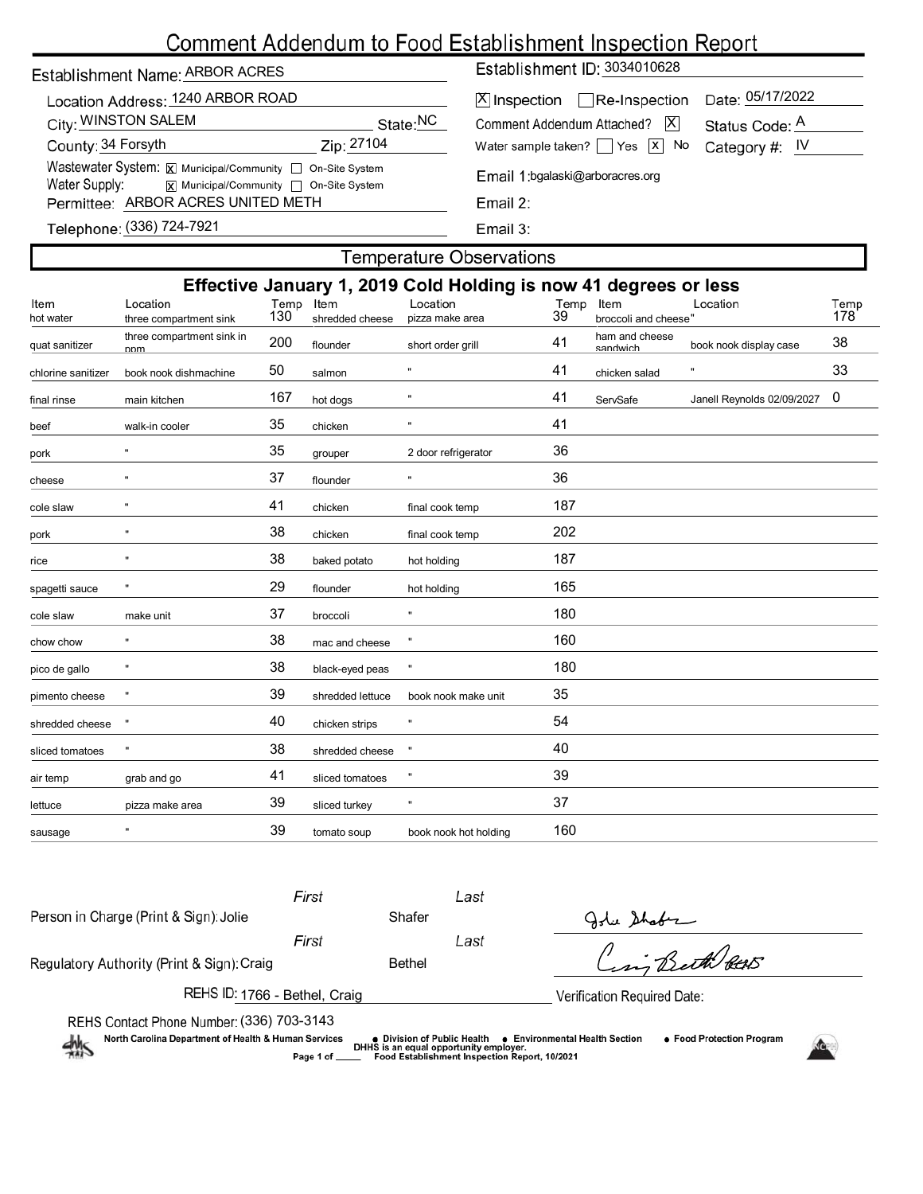# Comment Addendum to Food Establishment Inspection Report

| Establishment Name: ARBOR ACRES |
|---------------------------------|
|                                 |

| Location Address: 1240 ARBOR ROAD                         |                      |  |  |  |  |
|-----------------------------------------------------------|----------------------|--|--|--|--|
| City: WINSTON SALEM                                       | State: <sup>NC</sup> |  |  |  |  |
| County: 34 Forsyth                                        | Zip: 27104           |  |  |  |  |
| Wastewater System: X Municipal/Community   On-Site System |                      |  |  |  |  |
| Water Supply:<br> X  Municipal/Community   On-Site System |                      |  |  |  |  |
| Permittee: ARBOR ACRES UNITED METH                        |                      |  |  |  |  |

Establishment ID: 3034010628

| X  Inspection   Re-Inspection Date: 05/17/2022                                                                |  |
|---------------------------------------------------------------------------------------------------------------|--|
| Comment Addendum Attached?   X Status Code: A<br>Water sample taken? $\Box$ Yes $\boxed{x}$ No Category #: IV |  |
|                                                                                                               |  |

Email 1: bgalaski@arboracres.org

Email 3:

## Telephone: (336) 724-7921

#### **Temperature Observations**

|                    |                                    |             |                         | Effective January 1, 2019 Cold Holding is now 41 degrees or less |            |                              |                            |             |
|--------------------|------------------------------------|-------------|-------------------------|------------------------------------------------------------------|------------|------------------------------|----------------------------|-------------|
| Item<br>hot water  | Location<br>three compartment sink | Temp<br>130 | Item<br>shredded cheese | Location<br>pizza make area                                      | Temp<br>39 | Item<br>broccoli and cheese" | Location                   | Temp<br>178 |
| quat sanitizer     | three compartment sink in<br>nnm   | 200         | flounder                | short order grill                                                | 41         | ham and cheese<br>sandwich   | book nook display case     | 38          |
| chlorine sanitizer | book nook dishmachine              | 50          | salmon                  | 'n                                                               | 41         | chicken salad                | $\pmb{\mathfrak{m}}$       | 33          |
| final rinse        | main kitchen                       | 167         | hot dogs                | 11                                                               | 41         | ServSafe                     | Janell Reynolds 02/09/2027 | 0           |
| beef               | walk-in cooler                     | 35          | chicken                 | Ħ                                                                | 41         |                              |                            |             |
| pork               | $\mathbf{u}$                       | 35          | grouper                 | 2 door refrigerator                                              | 36         |                              |                            |             |
| cheese             | $\pmb{\mathfrak{m}}$               | 37          | flounder                | Ħ                                                                | 36         |                              |                            |             |
| cole slaw          | $\pmb{\mathfrak{m}}$               | 41          | chicken                 | final cook temp                                                  | 187        |                              |                            |             |
| pork               | $\mathbf{u}$                       | 38          | chicken                 | final cook temp                                                  | 202        |                              |                            |             |
| rice               | $\mathbf{u}$                       | 38          | baked potato            | hot holding                                                      | 187        |                              |                            |             |
| spagetti sauce     | Ħ                                  | 29          | flounder                | hot holding                                                      | 165        |                              |                            |             |
| cole slaw          | make unit                          | 37          | broccoli                | $\mathbf{u}$                                                     | 180        |                              |                            |             |
| chow chow          | $\mathbf{u}$                       | 38          | mac and cheese          |                                                                  | 160        |                              |                            |             |
| pico de gallo      | $\pmb{\mathfrak{m}}$               | 38          | black-eyed peas         | Ħ                                                                | 180        |                              |                            |             |
| pimento cheese     | $\pmb{\mathfrak{m}}$               | 39          | shredded lettuce        | book nook make unit                                              | 35         |                              |                            |             |
| shredded cheese    | Ħ                                  | 40          | chicken strips          | Ħ                                                                | 54         |                              |                            |             |
| sliced tomatoes    | $\mathbf{u}$                       | 38          | shredded cheese         | $\pmb{\mathfrak{m}}$                                             | 40         |                              |                            |             |
| air temp           | grab and go                        | 41          | sliced tomatoes         |                                                                  | 39         |                              |                            |             |
| lettuce            | pizza make area                    | 39          | sliced turkey           | Ħ                                                                | 37         |                              |                            |             |
| sausage            | $\pmb{\mathfrak{m}}$               | 39          | tomato soup             | book nook hot holding                                            | 160        |                              |                            |             |
|                    |                                    |             |                         |                                                                  |            |                              |                            |             |

First Last John Shaber<br>Cing Beth PEAR Person in Charge (Print & Sign): Jolie Shafer First Last Regulatory Authority (Print & Sign): Craig example and Bethel REHS ID: 1766 - Bethel, Craig Verification Required Date: REHS Contact Phone Number: (336) 703-3143<br>North Carolina Department of Health & Human Services (1988) pivision of Public Health (1989) per North Carolina Department of Health & Human Services (1989) per Pood Establishment

North Carolina Department of Health & Human Services

Page 1 of



● Food Protection Program